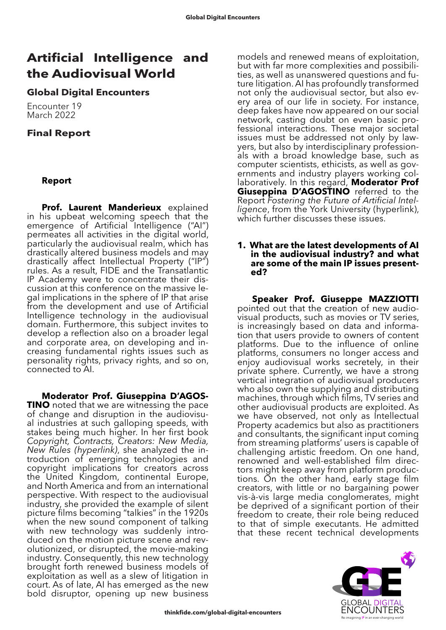# **Artificial Intelligence and the Audiovisual World**

## **Global Digital Encounters**

Encounter 19 March 2022

# **Final Report**

## **Report**

**Prof. Laurent Manderieux** explained in his upbeat welcoming speech that the emergence of Artificial Intelligence ("AI") permeates all activities in the digital world, particularly the audiovisual realm, which has drastically altered business models and may drastically affect Intellectual Property ("IP") rules. As a result, FIDE and the Transatlantic IP Academy were to concentrate their discussion at this conference on the massive legal implications in the sphere of IP that arise from the development and use of Artificial Intelligence technology in the audiovisual domain. Furthermore, this subject invites to develop a reflection also on a broader legal and corporate area, on developing and increasing fundamental rights issues such as personality rights, privacy rights, and so on, connected to AI.

**Moderator Prof. Giuseppina D'AGOS-<br><b>TINO** noted that we are witnessing the pace of change and disruption in the audiovisu-<br>al industries at such galloping speeds, with stakes being much higher. In her first book *Copyright, Contracts, Creators: New Media, New Rules (hyperlink)*, she analyzed the in- troduction of emerging technologies and copyright implications for creators across the United Kingdom, continental Europe, and North America and from an international perspective. With respect to the audiovisual industry, she provided the example of silent picture films becoming "talkies" in the 1920s when the new sound component of talking with new technology was suddenly intro-<br>duced on the motion picture scene and rev-<br>olutionized, or disrupted, the movie-making industry. Consequently, this new technology brought forth renewed business models of exploitation as well as a slew of litigation in court. As of late, AI has emerged as the new bold disruptor, opening up new business

models and renewed means of exploitation, but with far more complexities and possibilities, as well as unanswered questions and future litigation. AI has profoundly transformed not only the audiovisual sector, but also every area of our life in society. For instance, deep fakes have now appeared on our social network, casting doubt on even basic professional interactions. These major societal issues must be addressed not only by lawyers, but also by interdisciplinary professionals with a broad knowledge base, such as computer scientists, ethicists, as well as governments and industry players working collaboratively. In this regard, **Moderator Prof Giuseppina D'AGOSTINO** referred to the Report *Fostering the Future of Artificial Intelligence*, from the York University (hyperlink), which further discusses these issues.

#### **1. What are the latest developments of AI in the audiovisual industry? and what are some of the main IP issues presented?**

**Speaker Prof. Giuseppe MAZZIOTTI** pointed out that the creation of new audiovisual products, such as movies or TV series, is increasingly based on data and information that users provide to owners of content platforms. Due to the influence of online platforms, consumers no longer access and enjoy audiovisual works secretely, in their private sphere. Currently, we have a strong vertical integration of audiovisual producers who also own the supplying and distributing machines, through which films, TV series and other audiovisual products are exploited. As we have observed, not only as Intellectual Property academics but also as practitioners and consultants, the significant input coming from streaming platforms' users is capable of challenging artistic freedom. On one hand, renowned and well-established film directors might keep away from platform productions. On the other hand, early stage film creators, with little or no bargaining power vis-à-vis large media conglomerates, might be deprived of a significant portion of their freedom to create, their role being reduced to that of simple executants. He admitted that these recent technical developments

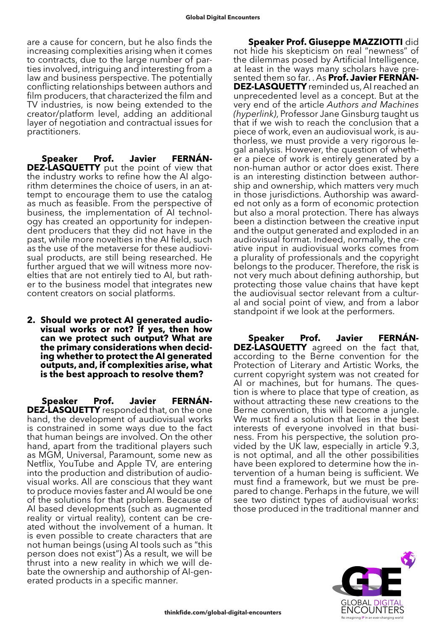are a cause for concern, but he also finds the increasing complexities arising when it comes to contracts, due to the large number of parties involved, intriguing and interesting from a law and business perspective. The potentially conflicting relationships between authors and film producers, that characterized the film and TV industries, is now being extended to the creator/platform level, adding an additional layer of negotiation and contractual issues for practitioners.

**Speaker Prof. Javier FERNÁN-DEZ-LASQUETTY** put the point of view that the industry works to refine how the AI algorithm determines the choice of users, in an attempt to encourage them to use the catalog as much as feasible. From the perspective of business, the implementation of AI technology has created an opportunity for independent producers that they did not have in the past, while more novelties in the AI field, such as the use of the metaverse for these audiovisual products, are still being researched. He further argued that we will witness more novelties that are not entirely tied to AI, but rather to the business model that integrates new content creators on social platforms.

**2. Should we protect AI generated audiovisual works or not? If yes, then how can we protect such output? What are the primary considerations when deciding whether to protect the AI generated outputs, and, if complexities arise, what is the best approach to resolve them?**

**Speaker Prof. Javier FERNÁN-DEZ-LASQUETTY** responded that, on the one hand, the development of audiovisual works is constrained in some ways due to the fact that human beings are involved. On the other hand, apart from the traditional players such as MGM, Universal, Paramount, some new as Netflix, YouTube and Apple TV, are entering into the production and distribution of audio- visual works. All are conscious that they want to produce movies faster and AI would be one of the solutions for that problem. Because of AI based developments (such as augmented reality or virtual reality), content can be created without the involvement of a human. It is even possible to create characters that are not human beings (using AI tools such as "this person does not exist") As a result, we will be thrust into a new reality in which we will de- bate the ownership and authorship of AI-gen- erated products in a specific manner.

**Speaker Prof. Giuseppe MAZZIOTTI** did not hide his skepticism on real "newness" of the dilemmas posed by Artificial Intelligence, at least in the ways many scholars have presented them so far. . As **Prof. Javier FERNÁN-DEZ-LASQUETTY** reminded us, AI reached an unprecedented level as a concept. But at the very end of the article *Authors and Machines (hyperlink)*, Professor Jane Ginsburg taught us that if we wish to reach the conclusion that a piece of work, even an audiovisual work, is authorless, we must provide a very rigorous legal analysis. However, the question of whether a piece of work is entirely generated by a non-human author or actor does exist. There is an interesting distinction between authorship and ownership, which matters very much in those jurisdictions. Authorship was awarded not only as a form of economic protection but also a moral protection. There has always been a distinction between the creative input and the output generated and exploded in an audiovisual format. Indeed, normally, the creative input in audiovisual works comes from a plurality of professionals and the copyright belongs to the producer. Therefore, the risk is not very much about defining authorship, but protecting those value chains that have kept the audiovisual sector relevant from a cultural and social point of view, and from a labor standpoint if we look at the performers.

**Speaker Prof. Javier FERNÁN-DEZ-LASQUETTY** agreed on the fact that, according to the Berne convention for the Protection of Literary and Artistic Works, the current copyright system was not created for AI or machines, but for humans. The question is where to place that type of creation, as without attracting these new creations to the Berne convention, this will become a jungle. We must find a solution that lies in the best interests of everyone involved in that business. From his perspective, the solution pro- vided by the UK law, especially in article 9.3, is not optimal, and all the other possibilities have been explored to determine how the in- tervention of a human being is sufficient. We must find a framework, but we must be pre- pared to change. Perhaps in the future, we will see two distinct types of audiovisual works: those produced in the traditional manner and

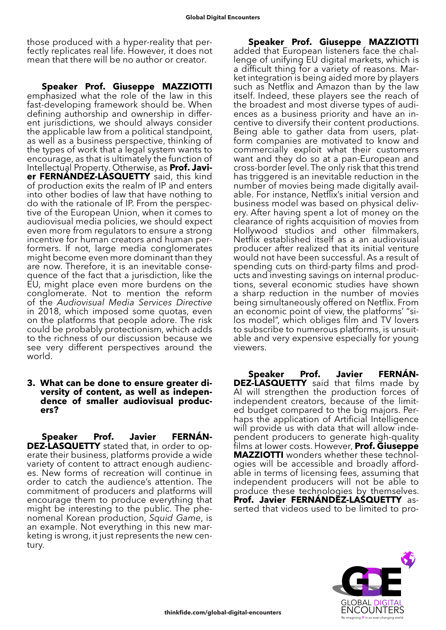those produced with a hyper-reality that perfectly replicates real life. However, it does not mean that there will be no author or creator.

**Speaker Prof. Giuseppe MAZZIOTTI** emphasized what the role of the law in this fast-developing framework should be. When defining authorship and ownership in different jurisdictions, we should always consider the applicable law from a political standpoint, as well as a business perspective, thinking of the types of work that a legal system wants to encourage, as that is ultimately the function of Intellectual Property. Otherwise, as **Prof. Javier FERNÁNDEZ-LASQUETTY** said, this kind of production exits the realm of IP and enters into other bodies of law that have nothing to do with the rationale of IP. From the perspective of the European Union, when it comes to audiovisual media policies, we should expect even more from regulators to ensure a strong incentive for human creators and human performers. If not, large media conglomerates might become even more dominant than they are now. Therefore, it is an inevitable consequence of the fact that a jurisdiction, like the EU, might place even more burdens on the conglomerate. Not to mention the reform of the *Audiovisual Media Services Directive* in 2018, which imposed some quotas, even on the platforms that people adore. The risk could be probably protectionism, which adds to the richness of our discussion because we see very different perspectives around the world.

#### **3. What can be done to ensure greater diversity of content, as well as independence of smaller audiovisual producers?**

**Speaker Prof. Javier FERNÁN-<br>
<b>DEZ-LASQUETTY** stated that, in order to op-<br>
erate their business, platforms provide a wide variety of content to attract enough audienc- es. New forms of recreation will continue in order to catch the audience's attention. The commitment of producers and platforms will encourage them to produce everything that might be interesting to the public. The phenomenal Korean production, *Squid Game*, is an example. Not everything in this new marketing is wrong, it just represents the new century.

**Speaker Prof. Giuseppe MAZZIOTTI** added that European listeners face the challenge of unifying EU digital markets, which is a difficult thing for a variety of reasons. Market integration is being aided more by players such as Netflix and Amazon than by the law itself. Indeed, these players see the reach of the broadest and most diverse types of audiences as a business priority and have an incentive to diversify their content productions. Being able to gather data from users, platform companies are motivated to know and commercially exploit what their customers want and they do so at a pan-European and cross-border level. The only risk that this trend has triggered is an inevitable reduction in the number of movies being made digitally available. For instance, Netflix's initial version and business model was based on physical delivery. After having spent a lot of money on the clearance of rights acquisition of movies from Hollywood studios and other filmmakers, Netflix established itself as a an audiovisual producer after realized that its initial venture would not have been successful. As a result of spending cuts on third-party films and products and investing savings on internal productions, several economic studies have shown a sharp reduction in the number of movies being simultaneously offered on Netflix. From an economic point of view, the platforms' "silos model", which obliges film and TV lovers to subscribe to numerous platforms, is unsuitable and very expensive especially for young viewers.

**Speaker Prof. Javier FERNÁN-DEZ-LASQUETTY** said that films made by AI will strengthen the production forces of independent creators, because of the limited budget compared to the big majors. Perhaps the application of Artificial Intelligence will provide us with data that will allow independent producers to generate high-quality films at lower costs. However, **Prof. Giuseppe MAZZIOTTI** wonders whether these technol- ogies will be accessible and broadly afford- able in terms of licensing fees, assuming that independent producers will not be able to produce these technologies by themselves. **Prof. Javier FERNÁNDEZ-LASQUETTY** asserted that videos used to be limited to pro-

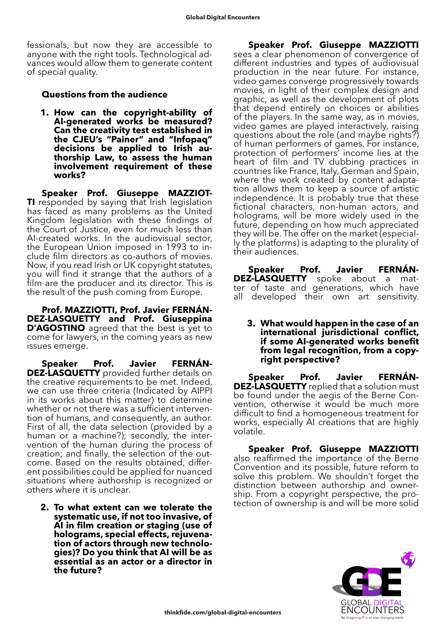fessionals, but now they are accessible to anyone with the right tools. Technological advances would allow them to generate content of special quality.

### **Questions from the audience**

**1. How can the copyright-ability of AI-generated works be measured? Can the creativity test established in the CJEU's "Painer" and "Infopaq" decisions be applied to Irish authorship Law, to assess the human involvement requirement of these works?**

**Speaker Prof. Giuseppe MAZZIOT-TI** responded by saying that Irish legislation has faced as many problems as the United Kingdom legislation with these findings of the Court of Justice, even for much less than AI-created works. In the audiovisual sector, the European Union imposed in 1993 to include film directors as co-authors of movies. Now, if you read Irish or UK copyright statutes, you will find it strange that the authors of a film are the producer and its director. This is the result of the push coming from Europe.

**Prof. MAZZIOTTI, Prof. Javier FERNÁN-DEZ-LASQUETTY and Prof. Giuseppina D'AGOSTINO** agreed that the best is yet to come for lawyers, in the coming years as new issues emerge.

**Speaker Prof. Javier FERNÁN-DEZ-LASQUETTY** provided further details on the creative requirements to be met. Indeed, we can use three criteria (Indicated by AIPPI in its works about this matter) to determine whether or not there was a sufficient intervention of humans, and consequently, an author. First of all, the data selection (provided by a human or a machine?); secondly, the intervention of the human during the process of creation; and finally, the selection of the outcome. Based on the results obtained, different possibilities could be applied for nuanced situations where authorship is recognized or others where it is unclear.

**2. To what extent can we tolerate the systematic use, if not too invasive, of AI in film creation or staging (use of holograms, special effects, rejuvena- tion of actors through new technolo- gies)? Do you think that AI will be as essential as an actor or a director in the future?**

**Speaker Prof. Giuseppe MAZZIOTTI** sees a clear phenomenon of convergence of different industries and types of audiovisual production in the near future. For instance, video games converge progressively towards movies, in light of their complex design and graphic, as well as the development of plots that depend entirely on choices or abilities of the players. In the same way, as in movies, video games are played interactively, raising questions about the role (and maybe rights?) of human performers of games. For instance, protection of performers' income lies at the heart of film and TV dubbing practices in countries like France, Italy, German and Spain, where the work created by content adaptation allows them to keep a source of artistic independence. It is probably true that these fictional characters, non-human actors, and holograms, will be more widely used in the future, depending on how much appreciated they will be. The offer on the market (especially the platforms) is adapting to the plurality of their audiences.

**Speaker Prof. Javier FERNÁN-DEZ-LASQUETTY** spoke about a matter of taste and generations, which have all developed their own art sensitivity.

**3. What would happen in the case of an international jurisdictional conflict, if some AI-generated works benefit from legal recognition, from a copyright perspective?**

**Speaker Prof. Javier FERNÁN-DEZ-LASQUETTY** replied that a solution must be found under the aegis of the Berne Convention, otherwise it would be much more difficult to find a homogeneous treatment for works, especially AI creations that are highly volatile.

**Speaker Prof. Giuseppe MAZZIOTTI**  also reaffirmed the importance of the Berne Convention and its possible, future reform to solve this problem. We shouldn't forget the distinction between authorship and owner- ship. From a copyright perspective, the pro- tection of ownership is and will be more solid

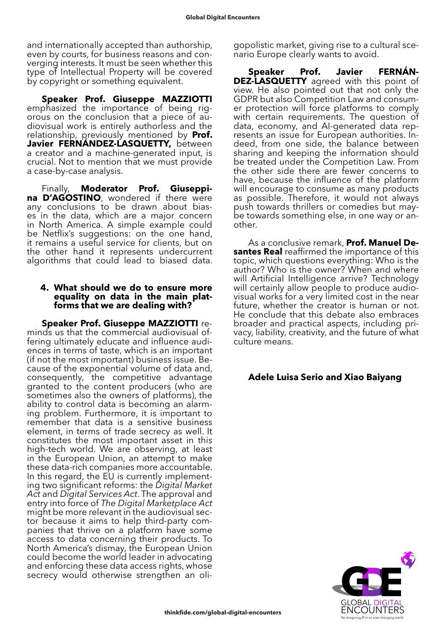and internationally accepted than authorship, even by courts, for business reasons and converging interests. It must be seen whether this type of Intellectual Property will be covered by copyright or something equivalent.

**Speaker Prof. Giuseppe MAZZIOTTI**  emphasized the importance of being rigorous on the conclusion that a piece of audiovisual work is entirely authorless and the relationship, previously mentioned by **Prof.**  Javier FERNÁNDEZ-LASQUETTY, between a creator and a machine-generated input, is crucial. Not to mention that we must provide a case-by-case analysis.

Finally, **Moderator Prof. Giuseppina D'AGOSTINO**, wondered if there were any conclusions to be drawn about biases in the data, which are a major concern in North America. A simple example could be Netflix's suggestions: on the one hand, it remains a useful service for clients, but on the other hand it represents undercurrent algorithms that could lead to biased data.

#### **4. What should we do to ensure more equality on data in the main platforms that we are dealing with?**

**Speaker Prof. Giuseppe MAZZIOTTI** reminds us that the commercial audiovisual offering ultimately educate and influence audiences in terms of taste, which is an important (if not the most important) business issue. Because of the exponential volume of data and, consequently, the competitive advantage granted to the content producers (who are sometimes also the owners of platforms), the ability to control data is becoming an alarming problem. Furthermore, it is important to remember that data is a sensitive business element, in terms of trade secrecy as well. It constitutes the most important asset in this high-tech world. We are observing, at least in the European Union, an attempt to make these data-rich companies more accountable. In this regard, the EU is currently implementing two significant reforms: the *Digital Market Act* and *Digital Services Act*. The approval and entry into force of *The Digital Marketplace Act* might be more relevant in the audiovisual sector because it aims to help third-party companies that thrive on a platform have some access to data concerning their products. To North America's dismay, the European Union could become the world leader in advocating and enforcing these data access rights, whose secrecy would otherwise strengthen an oligopolistic market, giving rise to a cultural scenario Europe clearly wants to avoid.

**Speaker Prof. Javier FERNÁN-DEZ-LASQUETTY** agreed with this point of view. He also pointed out that not only the GDPR but also Competition Law and consumer protection will force platforms to comply with certain requirements. The question of data, economy, and AI-generated data represents an issue for European authorities. Indeed, from one side, the balance between sharing and keeping the information should be treated under the Competition Law. From the other side there are fewer concerns to have, because the influence of the platform will encourage to consume as many products as possible. Therefore, it would not always push towards thrillers or comedies but maybe towards something else, in one way or another.

As a conclusive remark, **Prof. Manuel Desantes Real** reaffirmed the importance of this topic, which questions everything: Who is the author? Who is the owner? When and where will Artificial Intelligence arrive? Technology will certainly allow people to produce audiovisual works for a very limited cost in the near future, whether the creator is human or not. He conclude that this debate also embraces broader and practical aspects, including privacy, liability, creativity, and the future of what culture means.

## **Adele Luisa Serio and Xiao Baiyang**